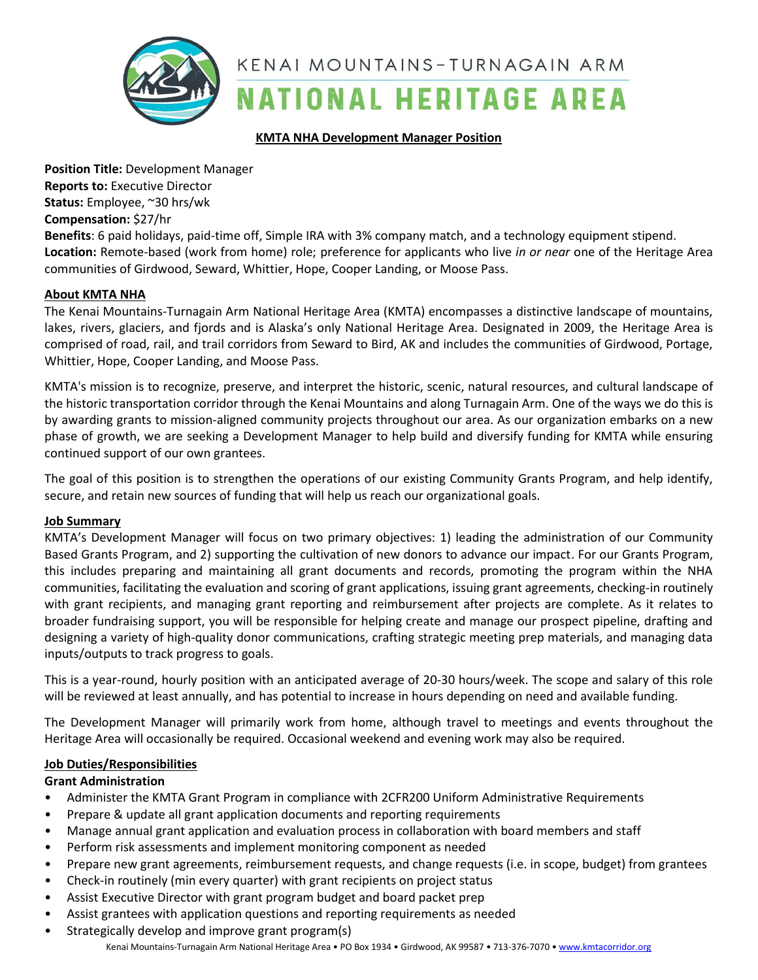

#### **KMTA NHA Development Manager Position**

**Position Title:** Development Manager **Reports to:** Executive Director **Status:** Employee, ~30 hrs/wk **Compensation:** \$27/hr

**Benefits**: 6 paid holidays, paid-time off, Simple IRA with 3% company match, and a technology equipment stipend. **Location:** Remote-based (work from home) role; preference for applicants who live *in or near* one of the Heritage Area communities of Girdwood, Seward, Whittier, Hope, Cooper Landing, or Moose Pass.

#### **About KMTA NHA**

The Kenai Mountains-Turnagain Arm National Heritage Area (KMTA) encompasses a distinctive landscape of mountains, lakes, rivers, glaciers, and fjords and is Alaska's only National Heritage Area. Designated in 2009, the Heritage Area is comprised of road, rail, and trail corridors from Seward to Bird, AK and includes the communities of Girdwood, Portage, Whittier, Hope, Cooper Landing, and Moose Pass.

KMTA's mission is to recognize, preserve, and interpret the historic, scenic, natural resources, and cultural landscape of the historic transportation corridor through the Kenai Mountains and along Turnagain Arm. One of the ways we do this is by awarding grants to mission-aligned community projects throughout our area. As our organization embarks on a new phase of growth, we are seeking a Development Manager to help build and diversify funding for KMTA while ensuring continued support of our own grantees.

The goal of this position is to strengthen the operations of our existing Community Grants Program, and help identify, secure, and retain new sources of funding that will help us reach our organizational goals.

#### **Job Summary**

KMTA's Development Manager will focus on two primary objectives: 1) leading the administration of our Community Based Grants Program, and 2) supporting the cultivation of new donors to advance our impact. For our Grants Program, this includes preparing and maintaining all grant documents and records, promoting the program within the NHA communities, facilitating the evaluation and scoring of grant applications, issuing grant agreements, checking-in routinely with grant recipients, and managing grant reporting and reimbursement after projects are complete. As it relates to broader fundraising support, you will be responsible for helping create and manage our prospect pipeline, drafting and designing a variety of high-quality donor communications, crafting strategic meeting prep materials, and managing data inputs/outputs to track progress to goals.

This is a year-round, hourly position with an anticipated average of 20-30 hours/week. The scope and salary of this role will be reviewed at least annually, and has potential to increase in hours depending on need and available funding.

The Development Manager will primarily work from home, although travel to meetings and events throughout the Heritage Area will occasionally be required. Occasional weekend and evening work may also be required.

#### **Job Duties/Responsibilities**

## **Grant Administration**

- Administer the KMTA Grant Program in compliance with 2CFR200 Uniform Administrative Requirements
- Prepare & update all grant application documents and reporting requirements
- Manage annual grant application and evaluation process in collaboration with board members and staff
- Perform risk assessments and implement monitoring component as needed
- Prepare new grant agreements, reimbursement requests, and change requests (i.e. in scope, budget) from grantees
- Check-in routinely (min every quarter) with grant recipients on project status
- Assist Executive Director with grant program budget and board packet prep
- Assist grantees with application questions and reporting requirements as needed
- Kenai Mountains-Turnagain Arm National Heritage Area PO Box 1934 Girdwood, AK 99587 713-376-7070 [www.kmtacorridor.org](http://www.kmtacorridor.org/) • Strategically develop and improve grant program(s)